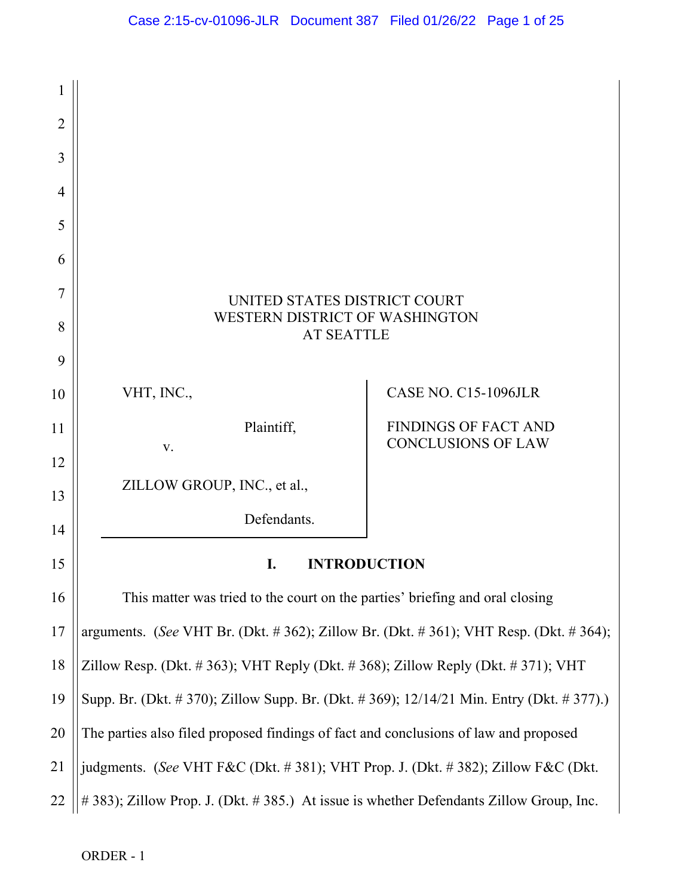

ORDER - 1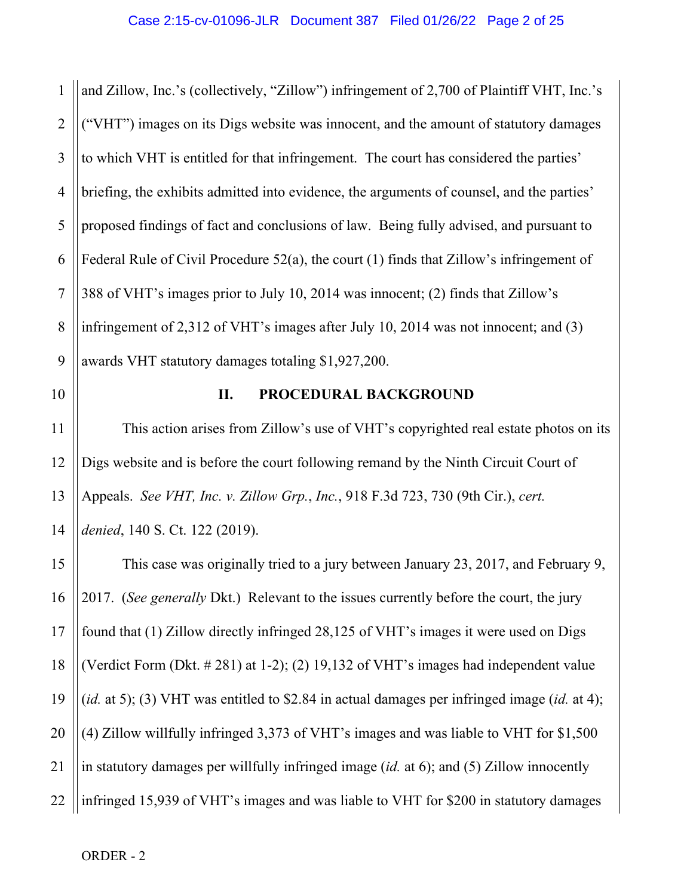1 2 3 4 5 6 7 8 9 and Zillow, Inc.'s (collectively, "Zillow") infringement of 2,700 of Plaintiff VHT, Inc.'s ("VHT") images on its Digs website was innocent, and the amount of statutory damages to which VHT is entitled for that infringement. The court has considered the parties' briefing, the exhibits admitted into evidence, the arguments of counsel, and the parties' proposed findings of fact and conclusions of law. Being fully advised, and pursuant to Federal Rule of Civil Procedure 52(a), the court (1) finds that Zillow's infringement of 388 of VHT's images prior to July 10, 2014 was innocent; (2) finds that Zillow's infringement of 2,312 of VHT's images after July 10, 2014 was not innocent; and (3) awards VHT statutory damages totaling \$1,927,200.

10 11 12

13

### **II. PROCEDURAL BACKGROUND**

14 This action arises from Zillow's use of VHT's copyrighted real estate photos on its Digs website and is before the court following remand by the Ninth Circuit Court of Appeals. *See VHT, Inc. v. Zillow Grp.*, *Inc.*, 918 F.3d 723, 730 (9th Cir.), *cert. denied*, 140 S. Ct. 122 (2019).

15 16 17 18 19 20 21 22 This case was originally tried to a jury between January 23, 2017, and February 9, 2017. (*See generally* Dkt.) Relevant to the issues currently before the court, the jury found that (1) Zillow directly infringed 28,125 of VHT's images it were used on Digs (Verdict Form (Dkt. # 281) at 1-2); (2) 19,132 of VHT's images had independent value (*id.* at 5); (3) VHT was entitled to \$2.84 in actual damages per infringed image (*id.* at 4); (4) Zillow willfully infringed 3,373 of VHT's images and was liable to VHT for \$1,500 in statutory damages per willfully infringed image (*id.* at 6); and (5) Zillow innocently infringed 15,939 of VHT's images and was liable to VHT for \$200 in statutory damages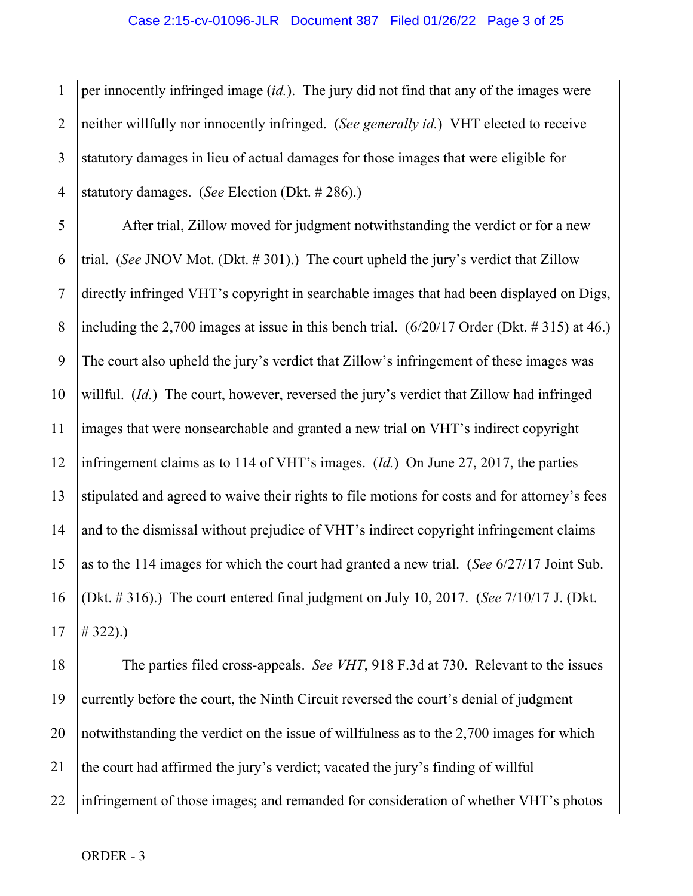1 2 3 4 per innocently infringed image (*id.*). The jury did not find that any of the images were neither willfully nor innocently infringed. (*See generally id.*) VHT elected to receive statutory damages in lieu of actual damages for those images that were eligible for statutory damages. (*See* Election (Dkt. # 286).)

5 6 7 8 9 10 11 12 13 14 15 16 17 After trial, Zillow moved for judgment notwithstanding the verdict or for a new trial. (*See* JNOV Mot. (Dkt. # 301).) The court upheld the jury's verdict that Zillow directly infringed VHT's copyright in searchable images that had been displayed on Digs, including the 2,700 images at issue in this bench trial. (6/20/17 Order (Dkt. # 315) at 46.) The court also upheld the jury's verdict that Zillow's infringement of these images was willful. (*Id.*) The court, however, reversed the jury's verdict that Zillow had infringed images that were nonsearchable and granted a new trial on VHT's indirect copyright infringement claims as to 114 of VHT's images. (*Id.*) On June 27, 2017, the parties stipulated and agreed to waive their rights to file motions for costs and for attorney's fees and to the dismissal without prejudice of VHT's indirect copyright infringement claims as to the 114 images for which the court had granted a new trial. (*See* 6/27/17 Joint Sub. (Dkt. # 316).) The court entered final judgment on July 10, 2017. (*See* 7/10/17 J. (Dkt.  $# 322).$ 

18 19 20 21 22 The parties filed cross-appeals. *See VHT*, 918 F.3d at 730. Relevant to the issues currently before the court, the Ninth Circuit reversed the court's denial of judgment notwithstanding the verdict on the issue of willfulness as to the 2,700 images for which the court had affirmed the jury's verdict; vacated the jury's finding of willful infringement of those images; and remanded for consideration of whether VHT's photos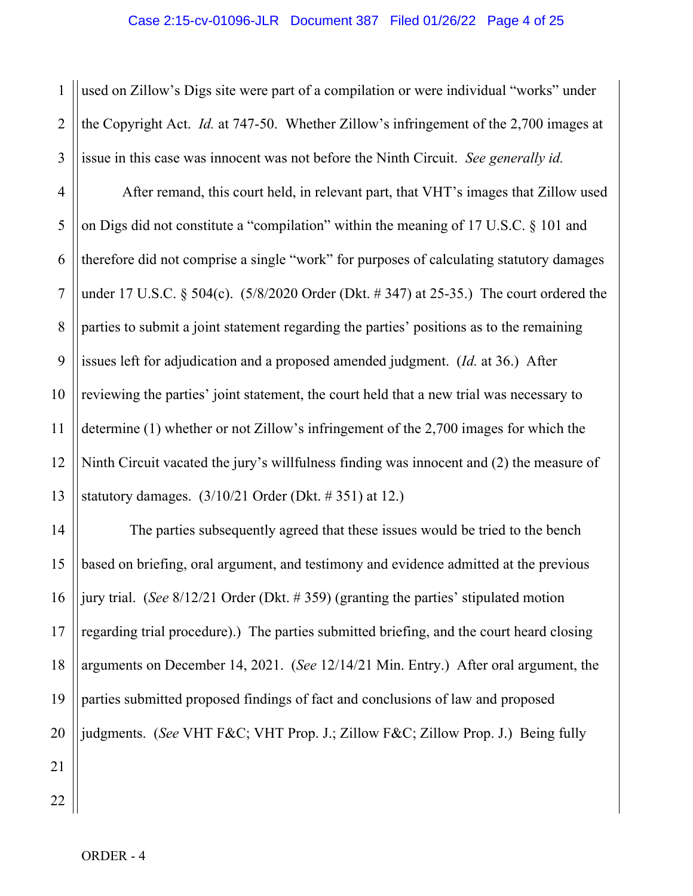1 2 3 used on Zillow's Digs site were part of a compilation or were individual "works" under the Copyright Act. *Id.* at 747-50. Whether Zillow's infringement of the 2,700 images at issue in this case was innocent was not before the Ninth Circuit. *See generally id.*

4 5 6 7 8 9 10 12 13 After remand, this court held, in relevant part, that VHT's images that Zillow used on Digs did not constitute a "compilation" within the meaning of 17 U.S.C. § 101 and therefore did not comprise a single "work" for purposes of calculating statutory damages under 17 U.S.C. § 504(c). (5/8/2020 Order (Dkt. # 347) at 25-35.) The court ordered the parties to submit a joint statement regarding the parties' positions as to the remaining issues left for adjudication and a proposed amended judgment. (*Id.* at 36.) After reviewing the parties' joint statement, the court held that a new trial was necessary to determine (1) whether or not Zillow's infringement of the 2,700 images for which the Ninth Circuit vacated the jury's willfulness finding was innocent and (2) the measure of statutory damages. (3/10/21 Order (Dkt. # 351) at 12.)

14 15 16 17 18 19 20 21 The parties subsequently agreed that these issues would be tried to the bench based on briefing, oral argument, and testimony and evidence admitted at the previous jury trial. (*See* 8/12/21 Order (Dkt. # 359) (granting the parties' stipulated motion regarding trial procedure).) The parties submitted briefing, and the court heard closing arguments on December 14, 2021. (*See* 12/14/21 Min. Entry.) After oral argument, the parties submitted proposed findings of fact and conclusions of law and proposed judgments. (*See* VHT F&C; VHT Prop. J.; Zillow F&C; Zillow Prop. J.) Being fully

22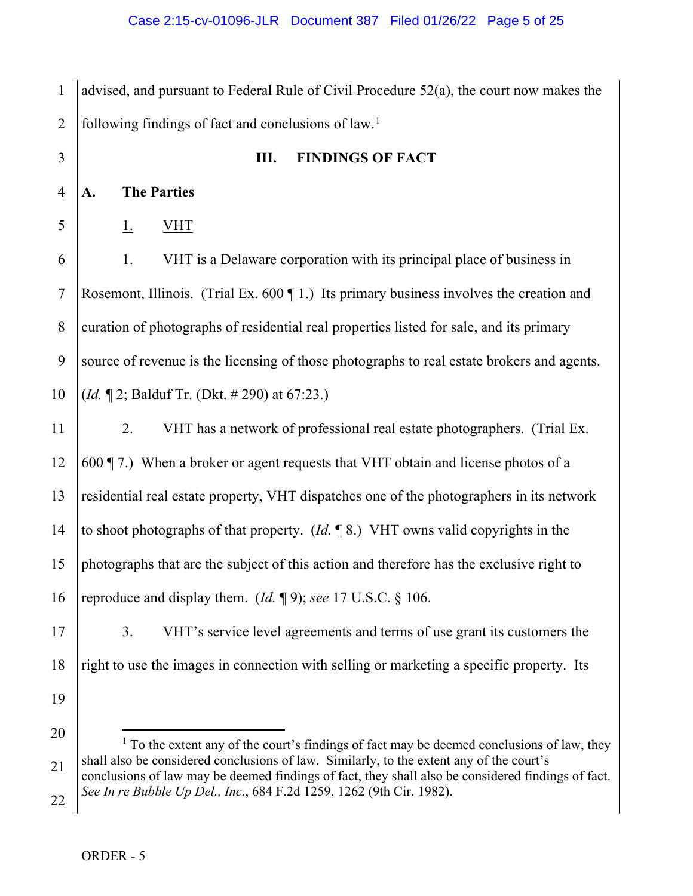1 2 advised, and pursuant to Federal Rule of Civil Procedure 52(a), the court now makes the following findings of fact and conclusions of  $law<sup>1</sup>$  $law<sup>1</sup>$  $law<sup>1</sup>$ .

3 4 5 6 7 8 9 10 11 12 13 14 15 16 **III. FINDINGS OF FACT A. The Parties** 1. VHT 1. VHT is a Delaware corporation with its principal place of business in Rosemont, Illinois. (Trial Ex. 600 ¶ 1.) Its primary business involves the creation and curation of photographs of residential real properties listed for sale, and its primary source of revenue is the licensing of those photographs to real estate brokers and agents. (*Id.* ¶ 2; Balduf Tr. (Dkt. # 290) at 67:23.) 2. VHT has a network of professional real estate photographers. (Trial Ex. 600 ¶ 7.) When a broker or agent requests that VHT obtain and license photos of a residential real estate property, VHT dispatches one of the photographers in its network to shoot photographs of that property. (*Id.* ¶ 8.) VHT owns valid copyrights in the photographs that are the subject of this action and therefore has the exclusive right to reproduce and display them. (*Id.* ¶ 9); *see* 17 U.S.C. § 106.

17 18 3. VHT's service level agreements and terms of use grant its customers the right to use the images in connection with selling or marketing a specific property. Its

<span id="page-4-0"></span>20 21 22  $<sup>1</sup>$  To the extent any of the court's findings of fact may be deemed conclusions of law, they</sup> shall also be considered conclusions of law. Similarly, to the extent any of the court's conclusions of law may be deemed findings of fact, they shall also be considered findings of fact. *See In re Bubble Up Del., Inc*., 684 F.2d 1259, 1262 (9th Cir. 1982).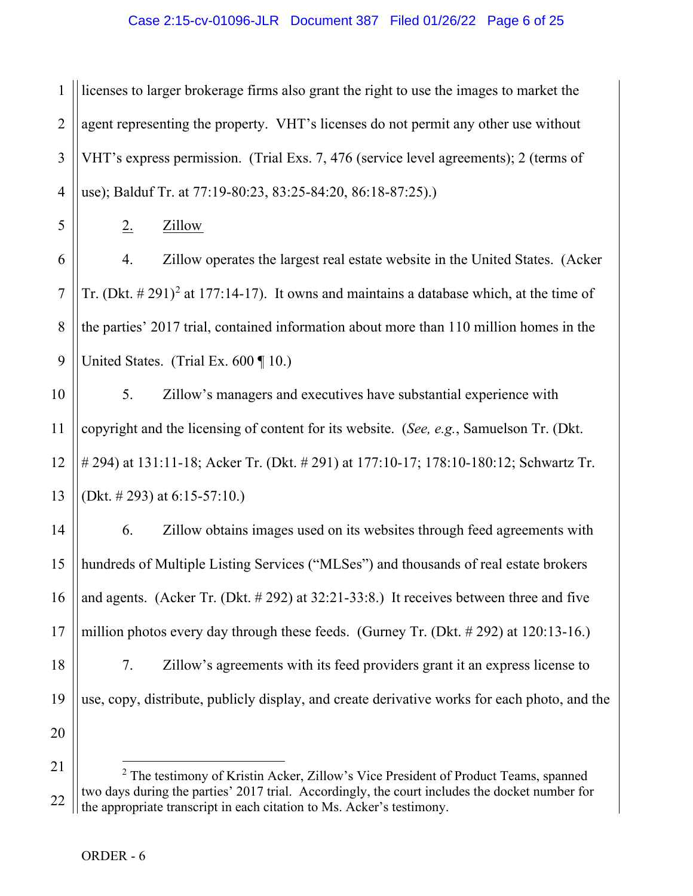1 2 3 4 licenses to larger brokerage firms also grant the right to use the images to market the agent representing the property. VHT's licenses do not permit any other use without VHT's express permission. (Trial Exs. 7, 476 (service level agreements); 2 (terms of use); Balduf Tr. at 77:19-80:23, 83:25-84:20, 86:18-87:25).)

5 6

7

8

9

2. Zillow

4. Zillow operates the largest real estate website in the United States. (Acker Tr. (Dkt.  $\# 291$  $\# 291$  $\# 291$ )<sup>2</sup> at 177:14-17). It owns and maintains a database which, at the time of the parties' 2017 trial, contained information about more than 110 million homes in the United States. (Trial Ex.  $600 \text{ } \text{T}$  10.)

10 11 12 13 5. Zillow's managers and executives have substantial experience with copyright and the licensing of content for its website. (*See, e.g.*, Samuelson Tr. (Dkt. # 294) at 131:11-18; Acker Tr. (Dkt. # 291) at 177:10-17; 178:10-180:12; Schwartz Tr. (Dkt. # 293) at 6:15-57:10.)

14 15 16 17 18 19 20 6. Zillow obtains images used on its websites through feed agreements with hundreds of Multiple Listing Services ("MLSes") and thousands of real estate brokers and agents. (Acker Tr. (Dkt. # 292) at 32:21-33:8.) It receives between three and five million photos every day through these feeds. (Gurney Tr. (Dkt. # 292) at 120:13-16.) 7. Zillow's agreements with its feed providers grant it an express license to use, copy, distribute, publicly display, and create derivative works for each photo, and the

<span id="page-5-0"></span><sup>21</sup> 22 <sup>2</sup> The testimony of Kristin Acker, Zillow's Vice President of Product Teams, spanned two days during the parties' 2017 trial. Accordingly, the court includes the docket number for the appropriate transcript in each citation to Ms. Acker's testimony.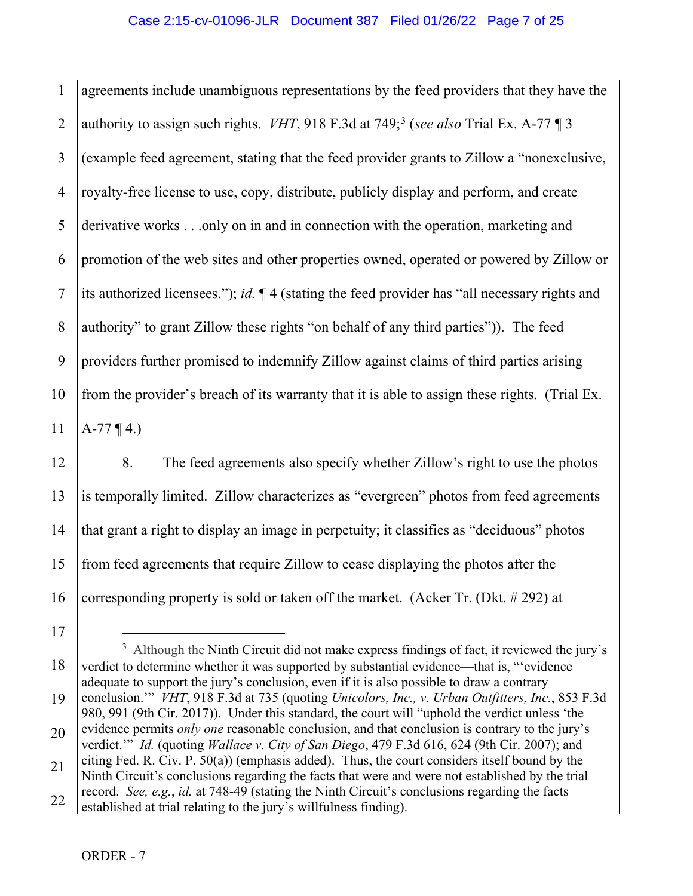1 2 3 4 5 6 7 8 9 10 11 agreements include unambiguous representations by the feed providers that they have the authority to assign such rights. *VHT*, 918 F.3d at 749; [3](#page-6-0) (*see also* Trial Ex. A-77 ¶ 3 (example feed agreement, stating that the feed provider grants to Zillow a "nonexclusive, royalty-free license to use, copy, distribute, publicly display and perform, and create derivative works . . .only on in and in connection with the operation, marketing and promotion of the web sites and other properties owned, operated or powered by Zillow or its authorized licensees."); *id.* ¶ 4 (stating the feed provider has "all necessary rights and authority" to grant Zillow these rights "on behalf of any third parties")). The feed providers further promised to indemnify Zillow against claims of third parties arising from the provider's breach of its warranty that it is able to assign these rights. (Trial Ex.  $A-77 \P 4.$ 

8. The feed agreements also specify whether Zillow's right to use the photos is temporally limited. Zillow characterizes as "evergreen" photos from feed agreements that grant a right to display an image in perpetuity; it classifies as "deciduous" photos from feed agreements that require Zillow to cease displaying the photos after the corresponding property is sold or taken off the market. (Acker Tr. (Dkt. # 292) at

17

12

13

14

15

<span id="page-6-0"></span><sup>18</sup> 19  $3$  Although the Ninth Circuit did not make express findings of fact, it reviewed the jury's verdict to determine whether it was supported by substantial evidence—that is, "'evidence adequate to support the jury's conclusion, even if it is also possible to draw a contrary conclusion.'" *VHT*, 918 F.3d at 735 (quoting *Unicolors, Inc., v. Urban Outfitters, Inc.*, 853 F.3d 980, 991 (9th Cir. 2017)). Under this standard, the court will "uphold the verdict unless 'the

<sup>20</sup> evidence permits *only one* reasonable conclusion, and that conclusion is contrary to the jury's verdict.'" *Id.* (quoting *Wallace v. City of San Diego*, 479 F.3d 616, 624 (9th Cir. 2007); and

<sup>21</sup> 22 citing Fed. R. Civ. P. 50(a)) (emphasis added). Thus, the court considers itself bound by the Ninth Circuit's conclusions regarding the facts that were and were not established by the trial record. *See, e.g.*, *id.* at 748-49 (stating the Ninth Circuit's conclusions regarding the facts

established at trial relating to the jury's willfulness finding).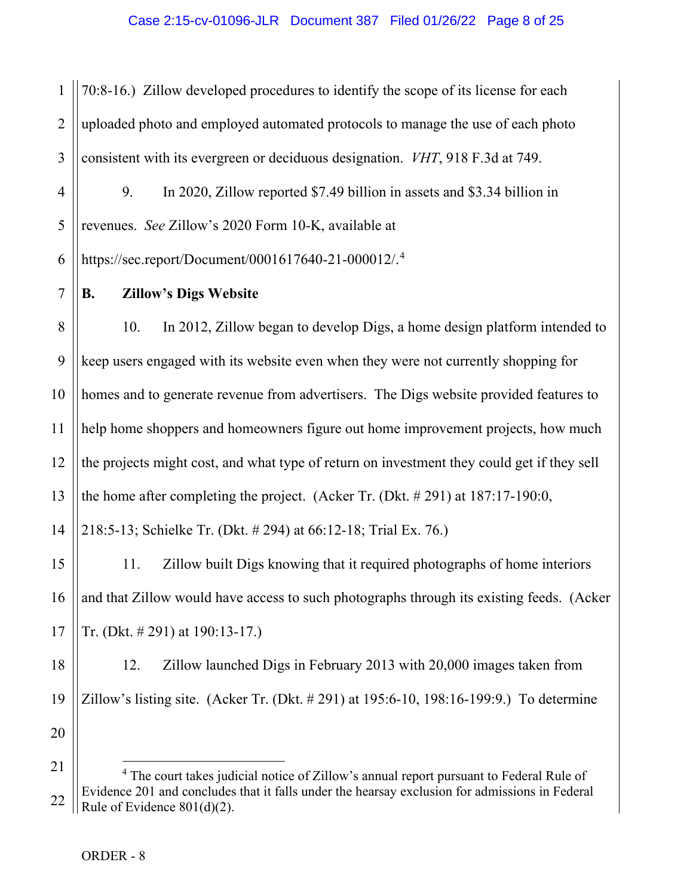1 2 3 70:8-16.) Zillow developed procedures to identify the scope of its license for each uploaded photo and employed automated protocols to manage the use of each photo consistent with its evergreen or deciduous designation. *VHT*, 918 F.3d at 749.

4 5 6 9. In 2020, Zillow reported \$7.49 billion in assets and \$3.34 billion in revenues. *See* Zillow's 2020 Form 10-K, available at https://sec.report/Document/0001617640-21-000012/.[4](#page-7-0)

7

15

16

17

### **B. Zillow's Digs Website**

8 9 10 11 12 13 14 10. In 2012, Zillow began to develop Digs, a home design platform intended to keep users engaged with its website even when they were not currently shopping for homes and to generate revenue from advertisers. The Digs website provided features to help home shoppers and homeowners figure out home improvement projects, how much the projects might cost, and what type of return on investment they could get if they sell the home after completing the project. (Acker Tr. (Dkt. # 291) at 187:17-190:0, 218:5-13; Schielke Tr. (Dkt. # 294) at 66:12-18; Trial Ex. 76.)

11. Zillow built Digs knowing that it required photographs of home interiors and that Zillow would have access to such photographs through its existing feeds. (Acker Tr. (Dkt. # 291) at 190:13-17.)

18 19 20 12. Zillow launched Digs in February 2013 with 20,000 images taken from Zillow's listing site. (Acker Tr. (Dkt. # 291) at 195:6-10, 198:16-199:9.) To determine

<span id="page-7-0"></span><sup>21</sup> 22 <sup>4</sup> The court takes judicial notice of Zillow's annual report pursuant to Federal Rule of Evidence 201 and concludes that it falls under the hearsay exclusion for admissions in Federal Rule of Evidence 801(d)(2).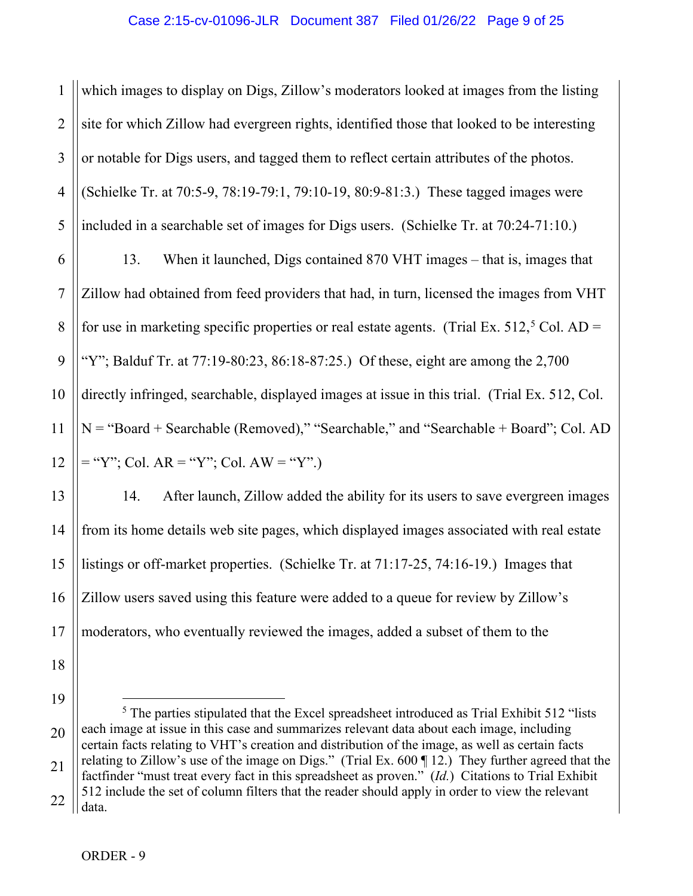1 2 3 4 5 which images to display on Digs, Zillow's moderators looked at images from the listing site for which Zillow had evergreen rights, identified those that looked to be interesting or notable for Digs users, and tagged them to reflect certain attributes of the photos. (Schielke Tr. at 70:5-9, 78:19-79:1, 79:10-19, 80:9-81:3.) These tagged images were included in a searchable set of images for Digs users. (Schielke Tr. at 70:24-71:10.)

6 7 8 9 10 11 12 13. When it launched, Digs contained 870 VHT images – that is, images that Zillow had obtained from feed providers that had, in turn, licensed the images from VHT for use in marketing specific properties or real estate agents. (Trial Ex.  $512<sup>5</sup>$  $512<sup>5</sup>$  Col. AD = "Y"; Balduf Tr. at  $77:19-80:23$ ,  $86:18-87:25$ .) Of these, eight are among the  $2,700$ directly infringed, searchable, displayed images at issue in this trial. (Trial Ex. 512, Col. N = "Board + Searchable (Removed)," "Searchable," and "Searchable + Board"; Col. AD  $=$  "Y"; Col. AR = "Y"; Col. AW = "Y".)

13 14 15 16 17 14. After launch, Zillow added the ability for its users to save evergreen images from its home details web site pages, which displayed images associated with real estate listings or off-market properties. (Schielke Tr. at 71:17-25, 74:16-19.) Images that Zillow users saved using this feature were added to a queue for review by Zillow's moderators, who eventually reviewed the images, added a subset of them to the

- 18
- 19

<span id="page-8-0"></span><sup>20</sup> 21 22  $<sup>5</sup>$  The parties stipulated that the Excel spreadsheet introduced as Trial Exhibit 512 "lists"</sup> each image at issue in this case and summarizes relevant data about each image, including certain facts relating to VHT's creation and distribution of the image, as well as certain facts relating to Zillow's use of the image on Digs." (Trial Ex. 600 ¶ 12.) They further agreed that the factfinder "must treat every fact in this spreadsheet as proven." (*Id.*) Citations to Trial Exhibit 512 include the set of column filters that the reader should apply in order to view the relevant data.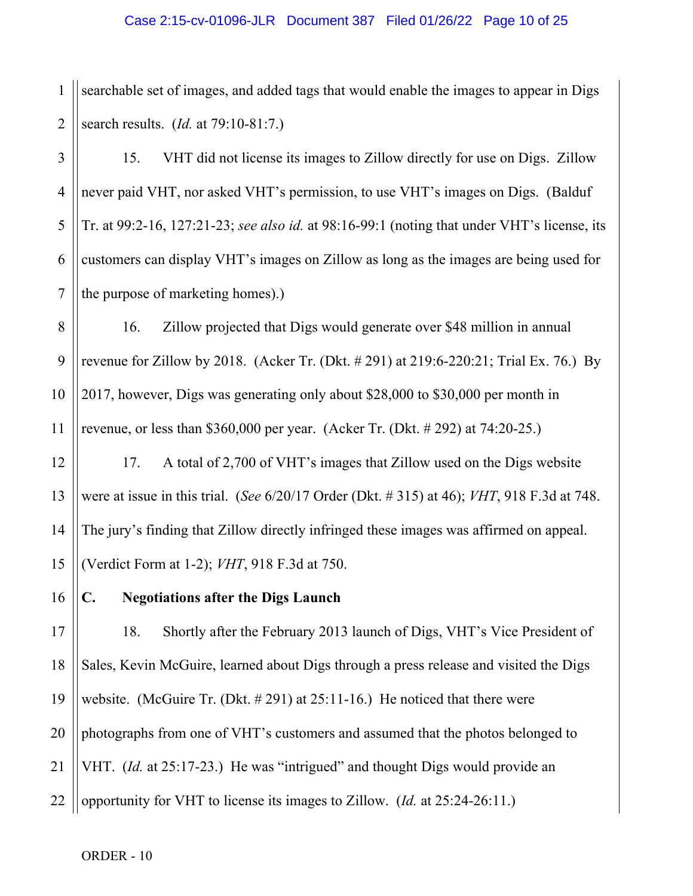1 2 searchable set of images, and added tags that would enable the images to appear in Digs search results. (*Id.* at 79:10-81:7.)

3 4 5 6 7 15. VHT did not license its images to Zillow directly for use on Digs. Zillow never paid VHT, nor asked VHT's permission, to use VHT's images on Digs. (Balduf Tr. at 99:2-16, 127:21-23; *see also id.* at 98:16-99:1 (noting that under VHT's license, its customers can display VHT's images on Zillow as long as the images are being used for the purpose of marketing homes).)

8 9 10 11 16. Zillow projected that Digs would generate over \$48 million in annual revenue for Zillow by 2018. (Acker Tr. (Dkt. # 291) at 219:6-220:21; Trial Ex. 76.) By 2017, however, Digs was generating only about \$28,000 to \$30,000 per month in revenue, or less than \$360,000 per year. (Acker Tr. (Dkt. # 292) at 74:20-25.)

12 13 14 15 17. A total of 2,700 of VHT's images that Zillow used on the Digs website were at issue in this trial. (*See* 6/20/17 Order (Dkt. # 315) at 46); *VHT*, 918 F.3d at 748. The jury's finding that Zillow directly infringed these images was affirmed on appeal. (Verdict Form at 1-2); *VHT*, 918 F.3d at 750.

**C. Negotiations after the Digs Launch**

17 18 19 20 21 22 18. Shortly after the February 2013 launch of Digs, VHT's Vice President of Sales, Kevin McGuire, learned about Digs through a press release and visited the Digs website. (McGuire Tr. (Dkt. # 291) at 25:11-16.) He noticed that there were photographs from one of VHT's customers and assumed that the photos belonged to VHT. (*Id.* at 25:17-23.) He was "intrigued" and thought Digs would provide an opportunity for VHT to license its images to Zillow. (*Id.* at 25:24-26:11.)

ORDER - 10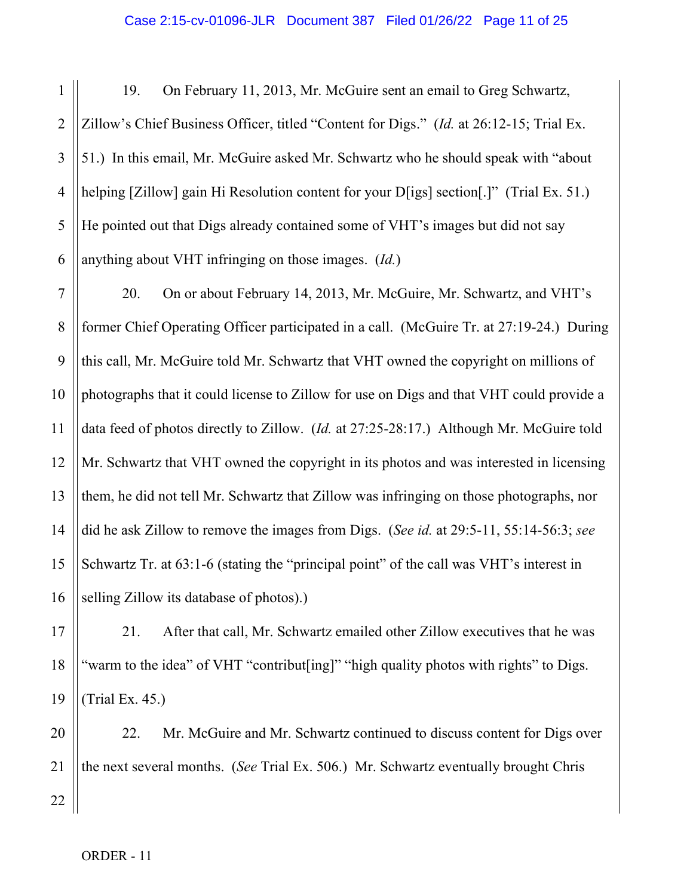1 2 3 4 5 6 19. On February 11, 2013, Mr. McGuire sent an email to Greg Schwartz, Zillow's Chief Business Officer, titled "Content for Digs." (*Id.* at 26:12-15; Trial Ex. 51.) In this email, Mr. McGuire asked Mr. Schwartz who he should speak with "about helping [Zillow] gain Hi Resolution content for your D[igs] section[.]" (Trial Ex. 51.) He pointed out that Digs already contained some of VHT's images but did not say anything about VHT infringing on those images. (*Id.*)

7 8 9 10 11 12 13 14 15 16 20. On or about February 14, 2013, Mr. McGuire, Mr. Schwartz, and VHT's former Chief Operating Officer participated in a call. (McGuire Tr. at 27:19-24.) During this call, Mr. McGuire told Mr. Schwartz that VHT owned the copyright on millions of photographs that it could license to Zillow for use on Digs and that VHT could provide a data feed of photos directly to Zillow. (*Id.* at 27:25-28:17.) Although Mr. McGuire told Mr. Schwartz that VHT owned the copyright in its photos and was interested in licensing them, he did not tell Mr. Schwartz that Zillow was infringing on those photographs, nor did he ask Zillow to remove the images from Digs. (*See id.* at 29:5-11, 55:14-56:3; *see* Schwartz Tr. at 63:1-6 (stating the "principal point" of the call was VHT's interest in selling Zillow its database of photos).)

17 18 19 21. After that call, Mr. Schwartz emailed other Zillow executives that he was "warm to the idea" of VHT "contribut [ing]" "high quality photos with rights" to Digs. (Trial Ex. 45.)

20 21 22 22. Mr. McGuire and Mr. Schwartz continued to discuss content for Digs over the next several months. (*See* Trial Ex. 506.) Mr. Schwartz eventually brought Chris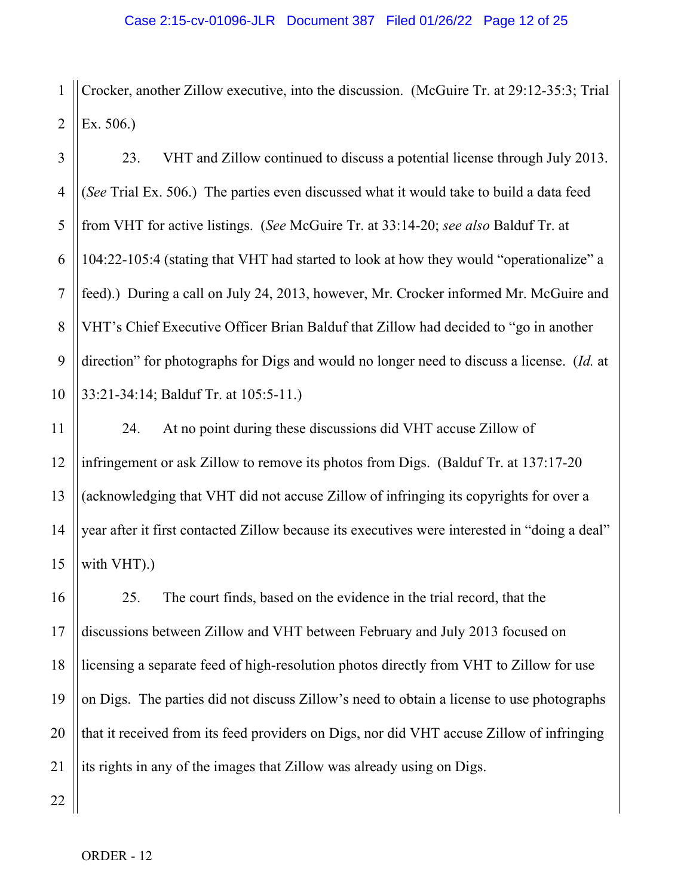1 2 Crocker, another Zillow executive, into the discussion. (McGuire Tr. at 29:12-35:3; Trial Ex. 506.)

3 4 5 6 7 8 9 10 23. VHT and Zillow continued to discuss a potential license through July 2013. (*See* Trial Ex. 506.) The parties even discussed what it would take to build a data feed from VHT for active listings. (*See* McGuire Tr. at 33:14-20; *see also* Balduf Tr. at 104:22-105:4 (stating that VHT had started to look at how they would "operationalize" a feed).) During a call on July 24, 2013, however, Mr. Crocker informed Mr. McGuire and VHT's Chief Executive Officer Brian Balduf that Zillow had decided to "go in another direction" for photographs for Digs and would no longer need to discuss a license. (*Id.* at 33:21-34:14; Balduf Tr. at 105:5-11.)

14 15 24. At no point during these discussions did VHT accuse Zillow of infringement or ask Zillow to remove its photos from Digs. (Balduf Tr. at 137:17-20 (acknowledging that VHT did not accuse Zillow of infringing its copyrights for over a year after it first contacted Zillow because its executives were interested in "doing a deal" with VHT).)

16 17 18 19 20 21 25. The court finds, based on the evidence in the trial record, that the discussions between Zillow and VHT between February and July 2013 focused on licensing a separate feed of high-resolution photos directly from VHT to Zillow for use on Digs. The parties did not discuss Zillow's need to obtain a license to use photographs that it received from its feed providers on Digs, nor did VHT accuse Zillow of infringing its rights in any of the images that Zillow was already using on Digs.

11

12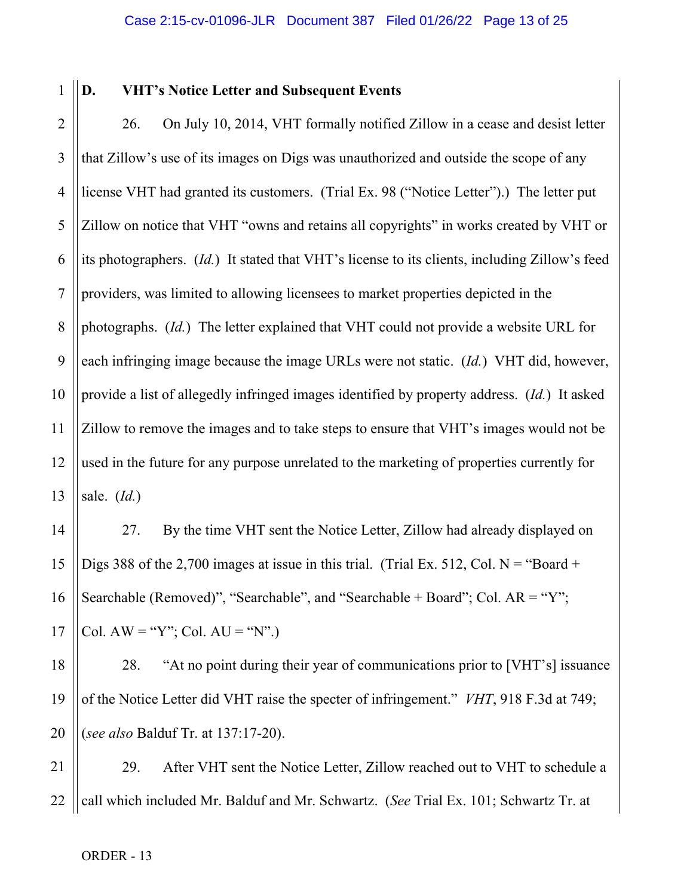1

14

15

16

17

# **D. VHT's Notice Letter and Subsequent Events**

2 3 4 5 6 7 8 9 10 11 12 13 26. On July 10, 2014, VHT formally notified Zillow in a cease and desist letter that Zillow's use of its images on Digs was unauthorized and outside the scope of any license VHT had granted its customers. (Trial Ex. 98 ("Notice Letter").) The letter put Zillow on notice that VHT "owns and retains all copyrights" in works created by VHT or its photographers. (*Id.*) It stated that VHT's license to its clients, including Zillow's feed providers, was limited to allowing licensees to market properties depicted in the photographs. (*Id.*) The letter explained that VHT could not provide a website URL for each infringing image because the image URLs were not static. (*Id.*) VHT did, however, provide a list of allegedly infringed images identified by property address. (*Id.*) It asked Zillow to remove the images and to take steps to ensure that VHT's images would not be used in the future for any purpose unrelated to the marketing of properties currently for sale. (*Id.*)

27. By the time VHT sent the Notice Letter, Zillow had already displayed on Digs 388 of the 2,700 images at issue in this trial. (Trial Ex. 512, Col.  $N =$  "Board + Searchable (Removed)", "Searchable", and "Searchable + Board"; Col. AR = "Y"; Col.  $AW = "Y"$ ; Col.  $AU = "N"$ .)

18 19 20 28. "At no point during their year of communications prior to [VHT's] issuance of the Notice Letter did VHT raise the specter of infringement." *VHT*, 918 F.3d at 749; (*see also* Balduf Tr. at 137:17-20).

21 22 29. After VHT sent the Notice Letter, Zillow reached out to VHT to schedule a call which included Mr. Balduf and Mr. Schwartz. (*See* Trial Ex. 101; Schwartz Tr. at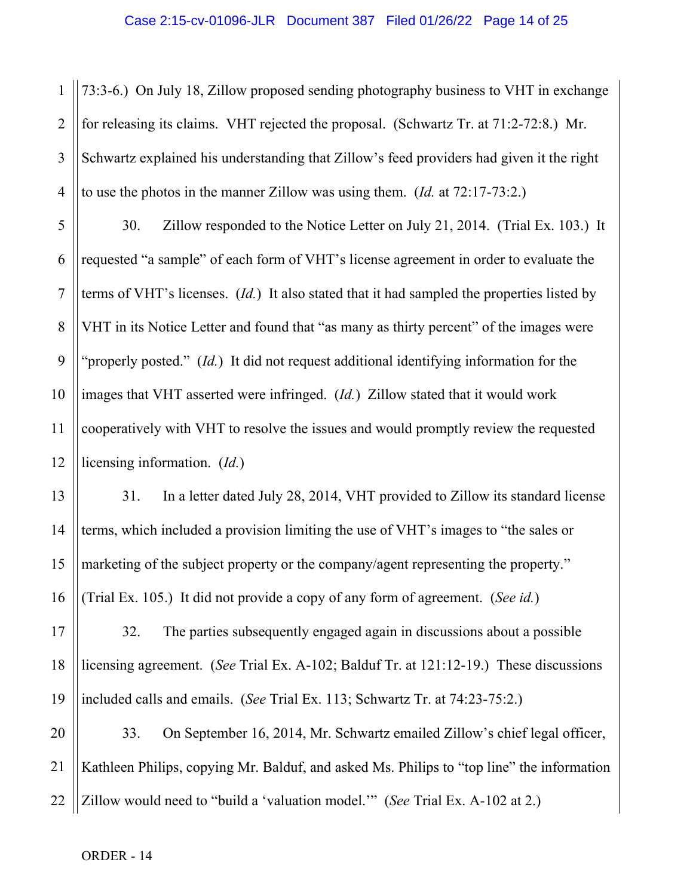1 2 3 4 73:3-6.) On July 18, Zillow proposed sending photography business to VHT in exchange for releasing its claims. VHT rejected the proposal. (Schwartz Tr. at 71:2-72:8.) Mr. Schwartz explained his understanding that Zillow's feed providers had given it the right to use the photos in the manner Zillow was using them. (*Id.* at 72:17-73:2.)

5 6 7 8 9 10 11 12 30. Zillow responded to the Notice Letter on July 21, 2014. (Trial Ex. 103.) It requested "a sample" of each form of VHT's license agreement in order to evaluate the terms of VHT's licenses. (*Id.*) It also stated that it had sampled the properties listed by VHT in its Notice Letter and found that "as many as thirty percent" of the images were "properly posted." (*Id.*) It did not request additional identifying information for the images that VHT asserted were infringed. (*Id.*) Zillow stated that it would work cooperatively with VHT to resolve the issues and would promptly review the requested licensing information. (*Id.*)

31. In a letter dated July 28, 2014, VHT provided to Zillow its standard license terms, which included a provision limiting the use of VHT's images to "the sales or marketing of the subject property or the company/agent representing the property." (Trial Ex. 105.) It did not provide a copy of any form of agreement. (*See id.*)

17 18 19 32. The parties subsequently engaged again in discussions about a possible licensing agreement. (*See* Trial Ex. A-102; Balduf Tr. at 121:12-19.) These discussions included calls and emails. (*See* Trial Ex. 113; Schwartz Tr. at 74:23-75:2.)

20 21 22 33. On September 16, 2014, Mr. Schwartz emailed Zillow's chief legal officer, Kathleen Philips, copying Mr. Balduf, and asked Ms. Philips to "top line" the information Zillow would need to "build a 'valuation model.'" (*See* Trial Ex. A-102 at 2.)

13

14

15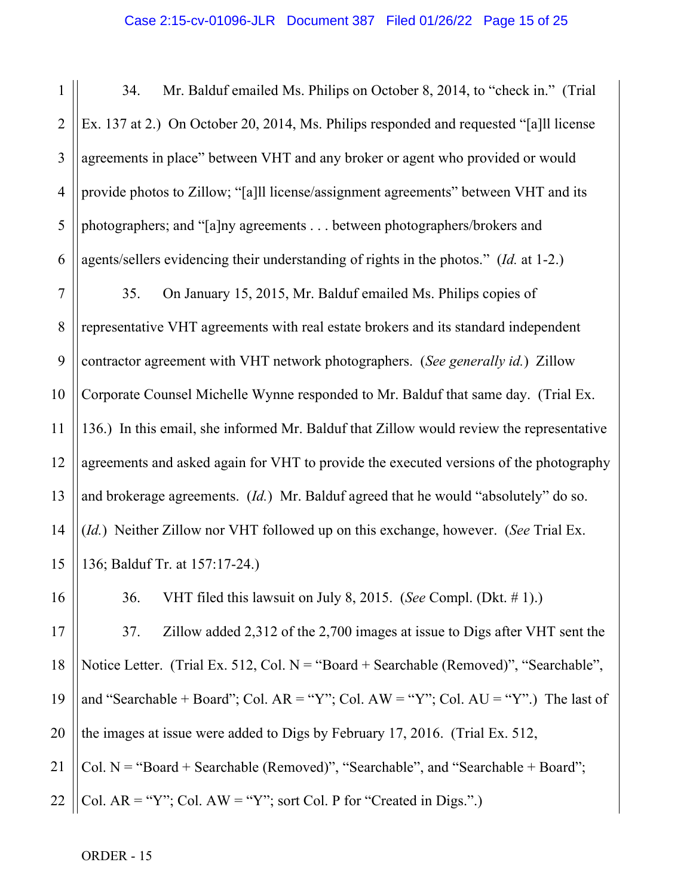1 2 3 4 5 6 34. Mr. Balduf emailed Ms. Philips on October 8, 2014, to "check in." (Trial Ex. 137 at 2.) On October 20, 2014, Ms. Philips responded and requested "[a]ll license agreements in place" between VHT and any broker or agent who provided or would provide photos to Zillow; "[a]ll license/assignment agreements" between VHT and its photographers; and "[a]ny agreements . . . between photographers/brokers and agents/sellers evidencing their understanding of rights in the photos." (*Id.* at 1-2.)

7 8 9 10 11 12 13 14 15 35. On January 15, 2015, Mr. Balduf emailed Ms. Philips copies of representative VHT agreements with real estate brokers and its standard independent contractor agreement with VHT network photographers. (*See generally id.*) Zillow Corporate Counsel Michelle Wynne responded to Mr. Balduf that same day. (Trial Ex. 136.) In this email, she informed Mr. Balduf that Zillow would review the representative agreements and asked again for VHT to provide the executed versions of the photography and brokerage agreements. (*Id.*) Mr. Balduf agreed that he would "absolutely" do so. (*Id.*) Neither Zillow nor VHT followed up on this exchange, however. (*See* Trial Ex. 136; Balduf Tr. at 157:17-24.)

36. VHT filed this lawsuit on July 8, 2015. (*See* Compl. (Dkt. # 1).)

17 18 19 20 21 22 37. Zillow added 2,312 of the 2,700 images at issue to Digs after VHT sent the Notice Letter. (Trial Ex. 512, Col. N = "Board + Searchable (Removed)", "Searchable", and "Searchable + Board"; Col.  $AR = "Y"$ ; Col.  $AW = "Y"$ ; Col.  $AU = "Y"$ .) The last of the images at issue were added to Digs by February 17, 2016. (Trial Ex. 512, Col.  $N = "Board + Searchable (Removed)", "Searchable", and "Searchable + Board";$ Col.  $AR = "Y"$ ; Col.  $AW = "Y"$ ; sort Col. P for "Created in Digs.".)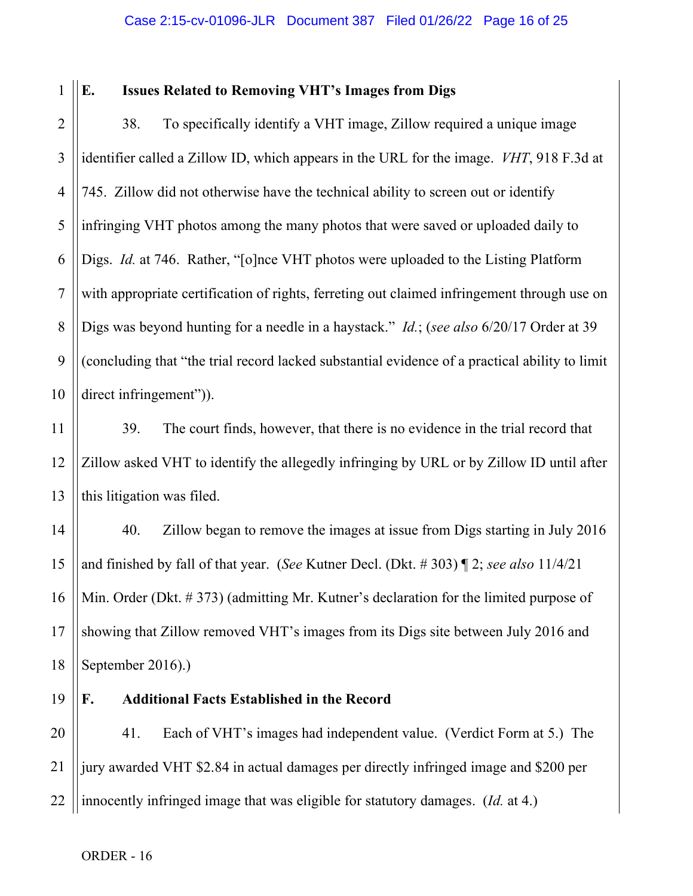#### Case 2:15-cv-01096-JLR Document 387 Filed 01/26/22 Page 16 of 25

1

# **E. Issues Related to Removing VHT's Images from Digs**

2 3 4 5 6 7 8 9 10 38. To specifically identify a VHT image, Zillow required a unique image identifier called a Zillow ID, which appears in the URL for the image. *VHT*, 918 F.3d at 745. Zillow did not otherwise have the technical ability to screen out or identify infringing VHT photos among the many photos that were saved or uploaded daily to Digs. *Id.* at 746. Rather, "[o]nce VHT photos were uploaded to the Listing Platform with appropriate certification of rights, ferreting out claimed infringement through use on Digs was beyond hunting for a needle in a haystack." *Id.*; (*see also* 6/20/17 Order at 39 (concluding that "the trial record lacked substantial evidence of a practical ability to limit direct infringement").

39. The court finds, however, that there is no evidence in the trial record that Zillow asked VHT to identify the allegedly infringing by URL or by Zillow ID until after this litigation was filed.

14 15 16 17 18 40. Zillow began to remove the images at issue from Digs starting in July 2016 and finished by fall of that year. (*See* Kutner Decl. (Dkt. # 303) ¶ 2; *see also* 11/4/21 Min. Order (Dkt. # 373) (admitting Mr. Kutner's declaration for the limited purpose of showing that Zillow removed VHT's images from its Digs site between July 2016 and September 2016).)

19

11

12

13

# **F. Additional Facts Established in the Record**

20 21 22 41. Each of VHT's images had independent value. (Verdict Form at 5.) The jury awarded VHT \$2.84 in actual damages per directly infringed image and \$200 per innocently infringed image that was eligible for statutory damages. (*Id.* at 4.)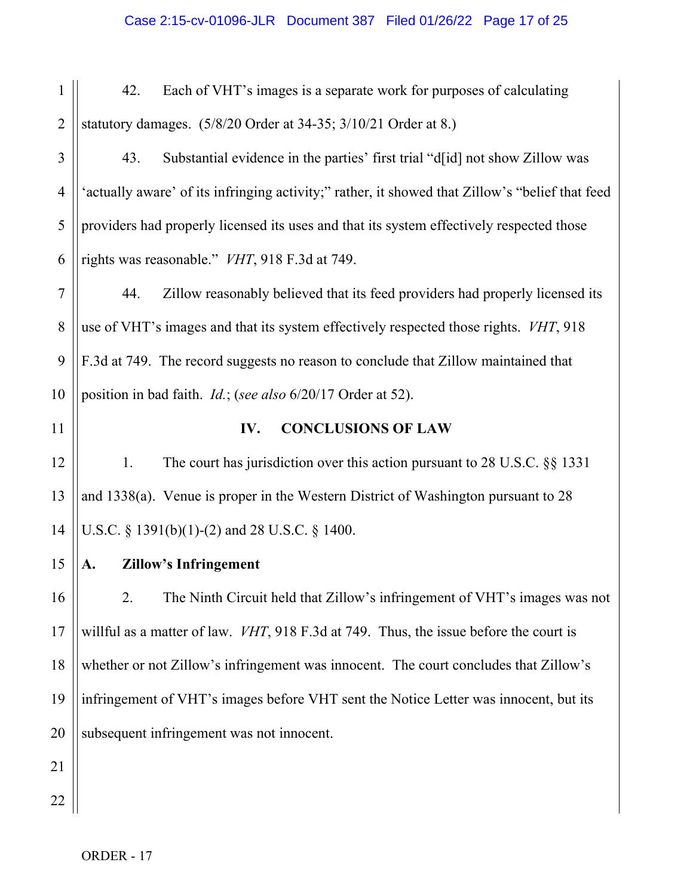| 1              | 42.<br>Each of VHT's images is a separate work for purposes of calculating                      |  |
|----------------|-------------------------------------------------------------------------------------------------|--|
| $\overline{2}$ | statutory damages. (5/8/20 Order at 34-35; 3/10/21 Order at 8.)                                 |  |
| 3              | 43.<br>Substantial evidence in the parties' first trial "d[id] not show Zillow was              |  |
| $\overline{4}$ | 'actually aware' of its infringing activity;" rather, it showed that Zillow's "belief that feed |  |
| 5              | providers had properly licensed its uses and that its system effectively respected those        |  |
| 6              | rights was reasonable." VHT, 918 F.3d at 749.                                                   |  |
| $\overline{7}$ | Zillow reasonably believed that its feed providers had properly licensed its<br>44.             |  |
| 8              | use of VHT's images and that its system effectively respected those rights. VHT, 918            |  |
| 9              | F.3d at 749. The record suggests no reason to conclude that Zillow maintained that              |  |
| 10             | position in bad faith. <i>Id.</i> ; (see also 6/20/17 Order at 52).                             |  |
| 11             | <b>CONCLUSIONS OF LAW</b><br>IV.                                                                |  |
| 12             | The court has jurisdiction over this action pursuant to 28 U.S.C. §§ 1331<br>1.                 |  |
| 13             | and $1338(a)$ . Venue is proper in the Western District of Washington pursuant to 28            |  |
| 14             | U.S.C. § 1391(b)(1)-(2) and 28 U.S.C. § 1400.                                                   |  |
| 15             | <b>Zillow's Infringement</b>                                                                    |  |
| 16             | 2.<br>The Ninth Circuit held that Zillow's infringement of VHT's images was not                 |  |
| 17             | willful as a matter of law. VHT, 918 F.3d at 749. Thus, the issue before the court is           |  |
| 18             | whether or not Zillow's infringement was innocent. The court concludes that Zillow's            |  |
| 19             | infringement of VHT's images before VHT sent the Notice Letter was innocent, but its            |  |
| 20             | subsequent infringement was not innocent.                                                       |  |
| 21             |                                                                                                 |  |
| 22             |                                                                                                 |  |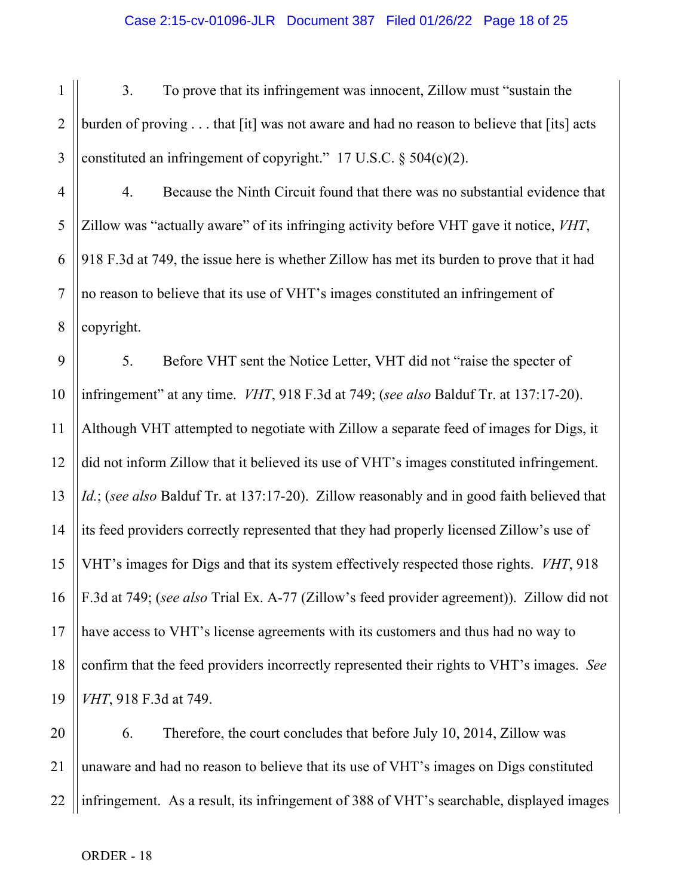1 2 3 3. To prove that its infringement was innocent, Zillow must "sustain the burden of proving . . . that [it] was not aware and had no reason to believe that [its] acts constituted an infringement of copyright." 17 U.S.C.  $\S$  504(c)(2).

4 5 6 7 8 4. Because the Ninth Circuit found that there was no substantial evidence that Zillow was "actually aware" of its infringing activity before VHT gave it notice, *VHT*, 918 F.3d at 749, the issue here is whether Zillow has met its burden to prove that it had no reason to believe that its use of VHT's images constituted an infringement of copyright.

9 10 11 12 13 14 15 16 17 18 19 5. Before VHT sent the Notice Letter, VHT did not "raise the specter of infringement" at any time. *VHT*, 918 F.3d at 749; (*see also* Balduf Tr. at 137:17-20). Although VHT attempted to negotiate with Zillow a separate feed of images for Digs, it did not inform Zillow that it believed its use of VHT's images constituted infringement. *Id.*; (*see also* Balduf Tr. at 137:17-20). Zillow reasonably and in good faith believed that its feed providers correctly represented that they had properly licensed Zillow's use of VHT's images for Digs and that its system effectively respected those rights. *VHT*, 918 F.3d at 749; (*see also* Trial Ex. A-77 (Zillow's feed provider agreement)). Zillow did not have access to VHT's license agreements with its customers and thus had no way to confirm that the feed providers incorrectly represented their rights to VHT's images. *See VHT*, 918 F.3d at 749.

20 21 22 6. Therefore, the court concludes that before July 10, 2014, Zillow was unaware and had no reason to believe that its use of VHT's images on Digs constituted infringement. As a result, its infringement of 388 of VHT's searchable, displayed images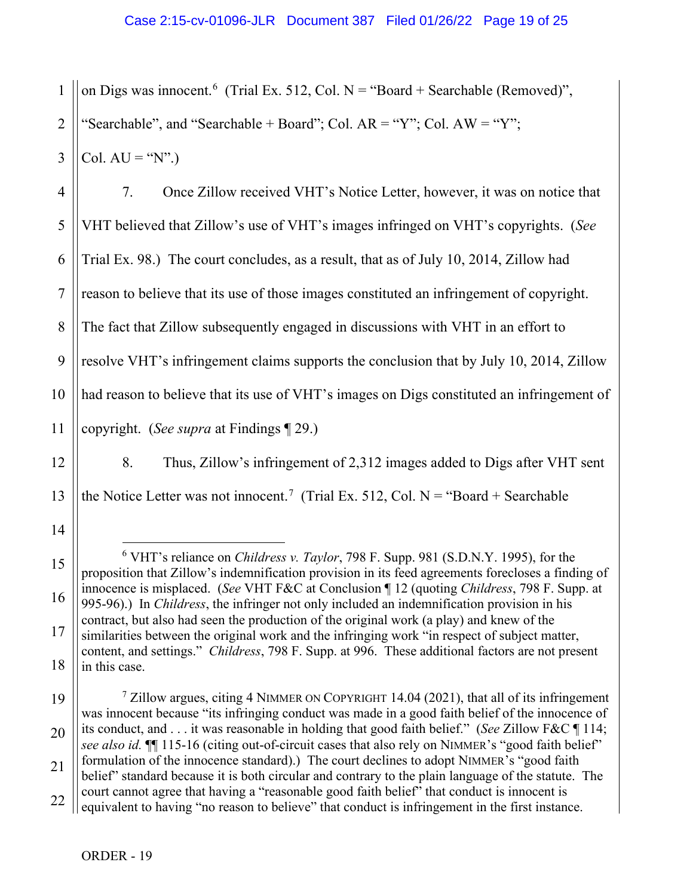1 2 3 on Digs was innocent.<sup>[6](#page-18-0)</sup> (Trial Ex. 512, Col. N = "Board + Searchable (Removed)", "Searchable", and "Searchable + Board"; Col.  $AR = "Y"$ ; Col.  $AW = "Y"$ ; Col.  $AU = "N"$ .)

4 5 6 7 8 9 10 11 7. Once Zillow received VHT's Notice Letter, however, it was on notice that VHT believed that Zillow's use of VHT's images infringed on VHT's copyrights. (*See* Trial Ex. 98.) The court concludes, as a result, that as of July 10, 2014, Zillow had reason to believe that its use of those images constituted an infringement of copyright. The fact that Zillow subsequently engaged in discussions with VHT in an effort to resolve VHT's infringement claims supports the conclusion that by July 10, 2014, Zillow had reason to believe that its use of VHT's images on Digs constituted an infringement of copyright. (*See supra* at Findings ¶ 29.)

8. Thus, Zillow's infringement of 2,312 images added to Digs after VHT sent the Notice Letter was not innocent.<sup>[7](#page-18-1)</sup> (Trial Ex. 512, Col. N = "Board + Searchable

<span id="page-18-1"></span>19 20 21 22  $\frac{7}{2}$  Zillow argues, citing 4 NIMMER ON COPYRIGHT 14.04 (2021), that all of its infringement was innocent because "its infringing conduct was made in a good faith belief of the innocence of its conduct, and . . . it was reasonable in holding that good faith belief." (*See* Zillow F&C ¶ 114; *see also id.* ¶¶ 115-16 (citing out-of-circuit cases that also rely on NIMMER's "good faith belief" formulation of the innocence standard).) The court declines to adopt NIMMER's "good faith belief" standard because it is both circular and contrary to the plain language of the statute. The court cannot agree that having a "reasonable good faith belief" that conduct is innocent is equivalent to having "no reason to believe" that conduct is infringement in the first instance.

12

13

14

<span id="page-18-0"></span>15

16

17

<sup>6</sup> VHT's reliance on *Childress v. Taylor*, 798 F. Supp. 981 (S.D.N.Y. 1995), for the proposition that Zillow's indemnification provision in its feed agreements forecloses a finding of innocence is misplaced. (*See* VHT F&C at Conclusion ¶ 12 (quoting *Childress*, 798 F. Supp. at 995-96).) In *Childress*, the infringer not only included an indemnification provision in his contract, but also had seen the production of the original work (a play) and knew of the similarities between the original work and the infringing work "in respect of subject matter, content, and settings." *Childress*, 798 F. Supp. at 996. These additional factors are not present in this case.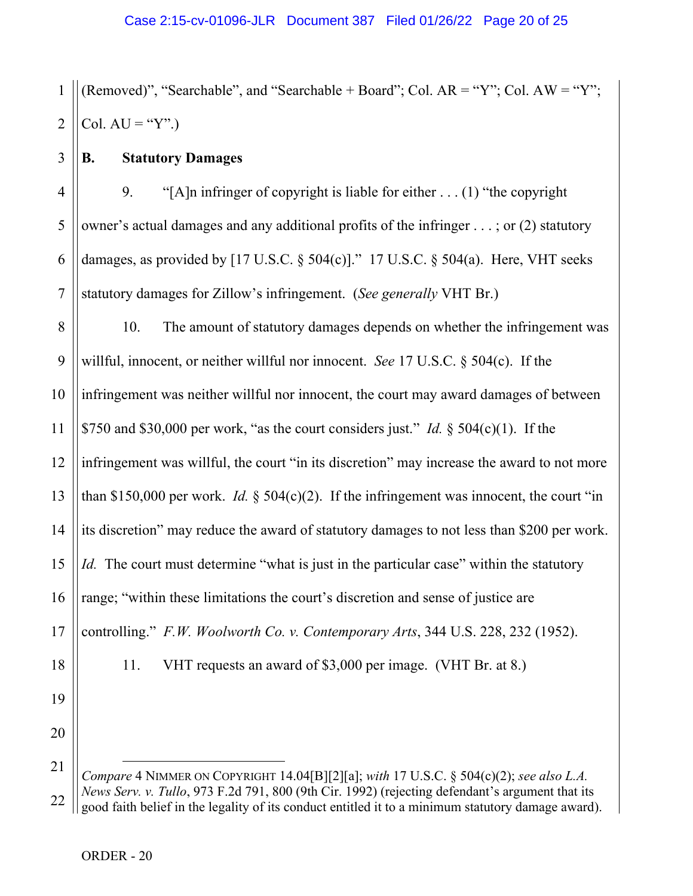1 2 (Removed)", "Searchable", and "Searchable + Board"; Col.  $AR = "Y"$ ; Col.  $AW = "Y"$ ; Col.  $AU = "Y".$ 

## **B. Statutory Damages**

3

5

7

4 6 9. "[A]n infringer of copyright is liable for either . . . (1) "the copyright owner's actual damages and any additional profits of the infringer . . . ; or (2) statutory damages, as provided by  $[17 \text{ U.S.C.} \$   $504(c)]$ ."  $17 \text{ U.S.C.} \$   $504(a)$ . Here, VHT seeks statutory damages for Zillow's infringement. (*See generally* VHT Br.)

8 9 10 11 12 13 14 15 16 17 18 19 10. The amount of statutory damages depends on whether the infringement was willful, innocent, or neither willful nor innocent. *See* 17 U.S.C. § 504(c). If the infringement was neither willful nor innocent, the court may award damages of between \$750 and \$30,000 per work, "as the court considers just." *Id.* § 504(c)(1). If the infringement was willful, the court "in its discretion" may increase the award to not more than \$150,000 per work. *Id.*  $\S$  504(c)(2). If the infringement was innocent, the court "in its discretion" may reduce the award of statutory damages to not less than \$200 per work. *Id.* The court must determine "what is just in the particular case" within the statutory range; "within these limitations the court's discretion and sense of justice are controlling." *F.W. Woolworth Co. v. Contemporary Arts*, 344 U.S. 228, 232 (1952). 11. VHT requests an award of \$3,000 per image. (VHT Br. at 8.)

<sup>22</sup> *Compare* 4 NIMMER ON COPYRIGHT 14.04[B][2][a]; *with* 17 U.S.C. § 504(c)(2); *see also L.A. News Serv. v. Tullo*, 973 F.2d 791, 800 (9th Cir. 1992) (rejecting defendant's argument that its good faith belief in the legality of its conduct entitled it to a minimum statutory damage award).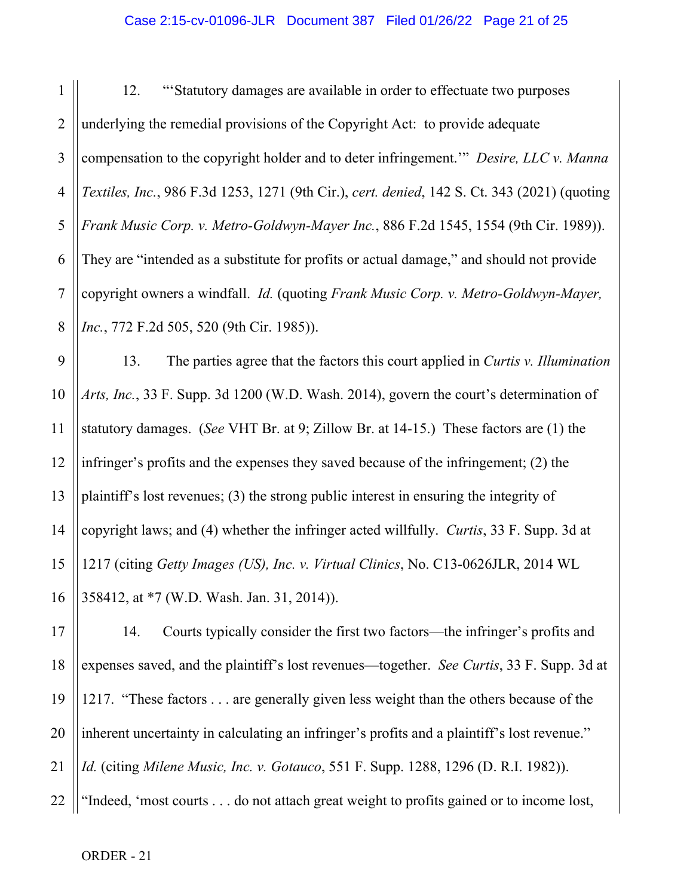#### Case 2:15-cv-01096-JLR Document 387 Filed 01/26/22 Page 21 of 25

1 2 3 4 5 6 7 8 12. "'Statutory damages are available in order to effectuate two purposes underlying the remedial provisions of the Copyright Act: to provide adequate compensation to the copyright holder and to deter infringement.'" *Desire, LLC v. Manna Textiles, Inc.*, 986 F.3d 1253, 1271 (9th Cir.), *cert. denied*, 142 S. Ct. 343 (2021) (quoting *Frank Music Corp. v. Metro-Goldwyn-Mayer Inc.*, 886 F.2d 1545, 1554 (9th Cir. 1989)). They are "intended as a substitute for profits or actual damage," and should not provide copyright owners a windfall. *Id.* (quoting *Frank Music Corp. v. Metro-Goldwyn-Mayer, Inc.*, 772 F.2d 505, 520 (9th Cir. 1985)).

9 10 11 12 13 14 15 16 13. The parties agree that the factors this court applied in *Curtis v. Illumination Arts, Inc.*, 33 F. Supp. 3d 1200 (W.D. Wash. 2014), govern the court's determination of statutory damages. (*See* VHT Br. at 9; Zillow Br. at 14-15.) These factors are (1) the infringer's profits and the expenses they saved because of the infringement; (2) the plaintiff's lost revenues; (3) the strong public interest in ensuring the integrity of copyright laws; and (4) whether the infringer acted willfully. *Curtis*, 33 F. Supp. 3d at 1217 (citing *Getty Images (US), Inc. v. Virtual Clinics*, No. C13-0626JLR, 2014 WL 358412, at \*7 (W.D. Wash. Jan. 31, 2014)).

17 18 19 20 21 22 14. Courts typically consider the first two factors—the infringer's profits and expenses saved, and the plaintiff's lost revenues—together. *See Curtis*, 33 F. Supp. 3d at 1217. "These factors . . . are generally given less weight than the others because of the inherent uncertainty in calculating an infringer's profits and a plaintiff's lost revenue." *Id.* (citing *Milene Music, Inc. v. Gotauco*, 551 F. Supp. 1288, 1296 (D. R.I. 1982)). "Indeed, 'most courts . . . do not attach great weight to profits gained or to income lost,

ORDER - 21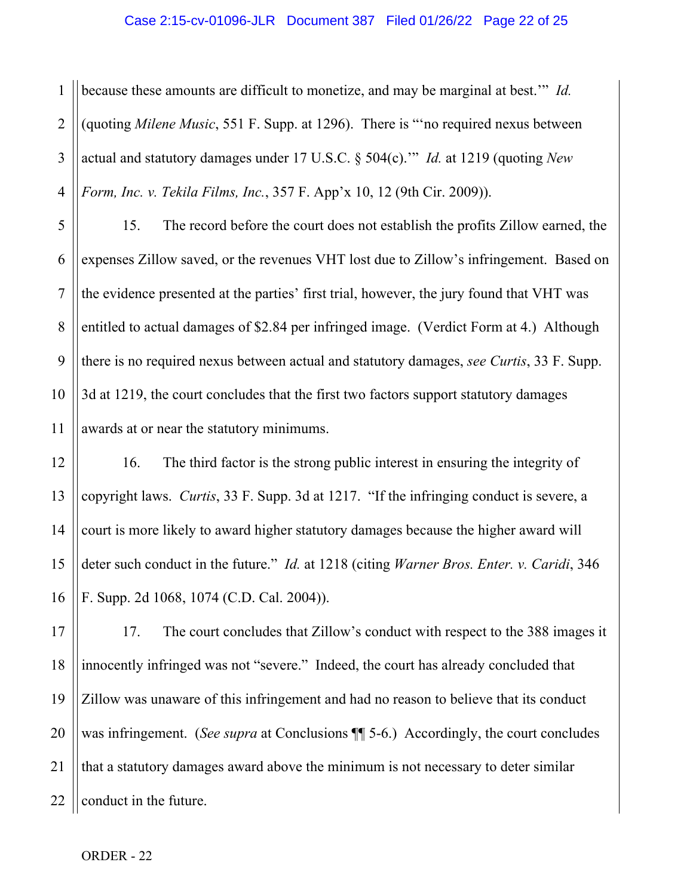1 2 3 4 because these amounts are difficult to monetize, and may be marginal at best.'" *Id.* (quoting *Milene Music*, 551 F. Supp. at 1296). There is "'no required nexus between actual and statutory damages under 17 U.S.C. § 504(c).'" *Id.* at 1219 (quoting *New Form, Inc. v. Tekila Films, Inc.*, 357 F. App'x 10, 12 (9th Cir. 2009)).

5 6 7 8 9 10 11 15. The record before the court does not establish the profits Zillow earned, the expenses Zillow saved, or the revenues VHT lost due to Zillow's infringement. Based on the evidence presented at the parties' first trial, however, the jury found that VHT was entitled to actual damages of \$2.84 per infringed image. (Verdict Form at 4.) Although there is no required nexus between actual and statutory damages, *see Curtis*, 33 F. Supp. 3d at 1219, the court concludes that the first two factors support statutory damages awards at or near the statutory minimums.

12 13 14 15 16 16. The third factor is the strong public interest in ensuring the integrity of copyright laws. *Curtis*, 33 F. Supp. 3d at 1217. "If the infringing conduct is severe, a court is more likely to award higher statutory damages because the higher award will deter such conduct in the future." *Id.* at 1218 (citing *Warner Bros. Enter. v. Caridi*, 346 F. Supp. 2d 1068, 1074 (C.D. Cal. 2004)).

17 18 19 20 21 22 17. The court concludes that Zillow's conduct with respect to the 388 images it innocently infringed was not "severe." Indeed, the court has already concluded that Zillow was unaware of this infringement and had no reason to believe that its conduct was infringement. (*See supra* at Conclusions ¶¶ 5-6.) Accordingly, the court concludes that a statutory damages award above the minimum is not necessary to deter similar conduct in the future.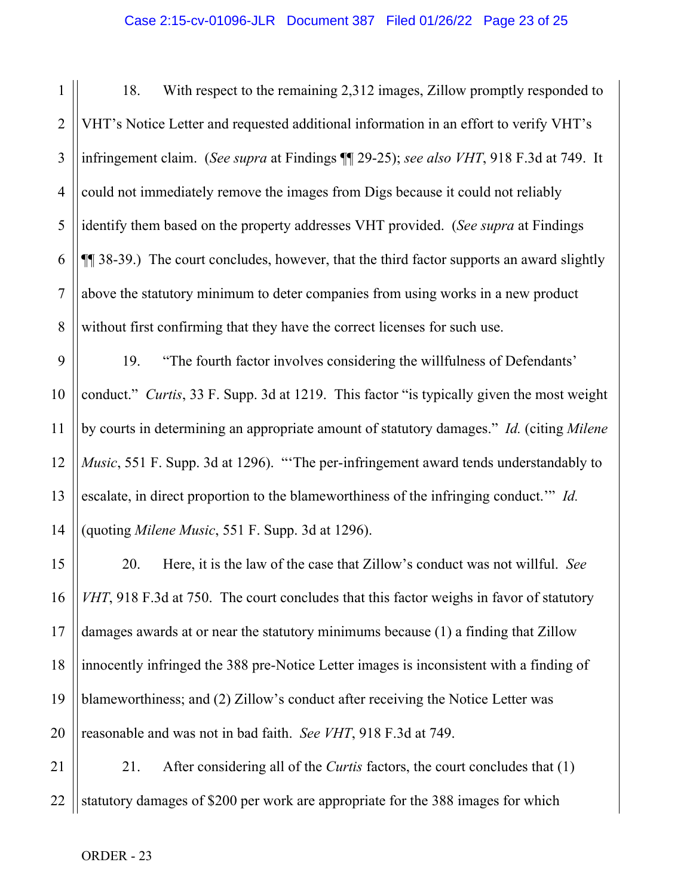1 2 3 4 5 6 7 8 18. With respect to the remaining 2,312 images, Zillow promptly responded to VHT's Notice Letter and requested additional information in an effort to verify VHT's infringement claim. (*See supra* at Findings ¶¶ 29-25); *see also VHT*, 918 F.3d at 749. It could not immediately remove the images from Digs because it could not reliably identify them based on the property addresses VHT provided. (*See supra* at Findings ¶¶ 38-39.) The court concludes, however, that the third factor supports an award slightly above the statutory minimum to deter companies from using works in a new product without first confirming that they have the correct licenses for such use.

9 10 11 12 13 14 19. "The fourth factor involves considering the willfulness of Defendants' conduct." *Curtis*, 33 F. Supp. 3d at 1219. This factor "is typically given the most weight by courts in determining an appropriate amount of statutory damages." *Id.* (citing *Milene Music*, 551 F. Supp. 3d at 1296). "The per-infringement award tends understandably to escalate, in direct proportion to the blameworthiness of the infringing conduct.'" *Id.* (quoting *Milene Music*, 551 F. Supp. 3d at 1296).

15 16 17 18 19 20 20. Here, it is the law of the case that Zillow's conduct was not willful. *See VHT*, 918 F.3d at 750. The court concludes that this factor weighs in favor of statutory damages awards at or near the statutory minimums because (1) a finding that Zillow innocently infringed the 388 pre-Notice Letter images is inconsistent with a finding of blameworthiness; and (2) Zillow's conduct after receiving the Notice Letter was reasonable and was not in bad faith. *See VHT*, 918 F.3d at 749.

21 22 21. After considering all of the *Curtis* factors, the court concludes that (1) statutory damages of \$200 per work are appropriate for the 388 images for which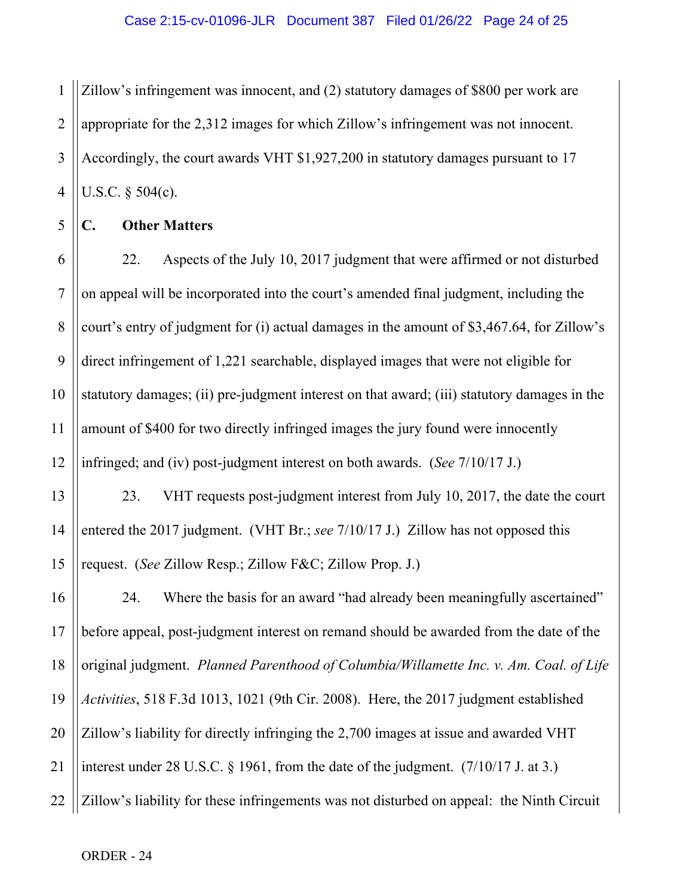1 2 3 4 Zillow's infringement was innocent, and (2) statutory damages of \$800 per work are appropriate for the 2,312 images for which Zillow's infringement was not innocent. Accordingly, the court awards VHT \$1,927,200 in statutory damages pursuant to 17 U.S.C. § 504(c).

**C. Other Matters**

5

6 7 8 9 10 11 12 22. Aspects of the July 10, 2017 judgment that were affirmed or not disturbed on appeal will be incorporated into the court's amended final judgment, including the court's entry of judgment for (i) actual damages in the amount of \$3,467.64, for Zillow's direct infringement of 1,221 searchable, displayed images that were not eligible for statutory damages; (ii) pre-judgment interest on that award; (iii) statutory damages in the amount of \$400 for two directly infringed images the jury found were innocently infringed; and (iv) post-judgment interest on both awards. (*See* 7/10/17 J.)

13 14 15 23. VHT requests post-judgment interest from July 10, 2017, the date the court entered the 2017 judgment. (VHT Br.; *see* 7/10/17 J.) Zillow has not opposed this request. (*See* Zillow Resp.; Zillow F&C; Zillow Prop. J.)

16 17 18 19 20 21 22 24. Where the basis for an award "had already been meaningfully ascertained" before appeal, post-judgment interest on remand should be awarded from the date of the original judgment. *Planned Parenthood of Columbia/Willamette Inc. v. Am. Coal. of Life Activities*, 518 F.3d 1013, 1021 (9th Cir. 2008). Here, the 2017 judgment established Zillow's liability for directly infringing the 2,700 images at issue and awarded VHT interest under 28 U.S.C. § 1961, from the date of the judgment. (7/10/17 J. at 3.) Zillow's liability for these infringements was not disturbed on appeal: the Ninth Circuit

ORDER - 24